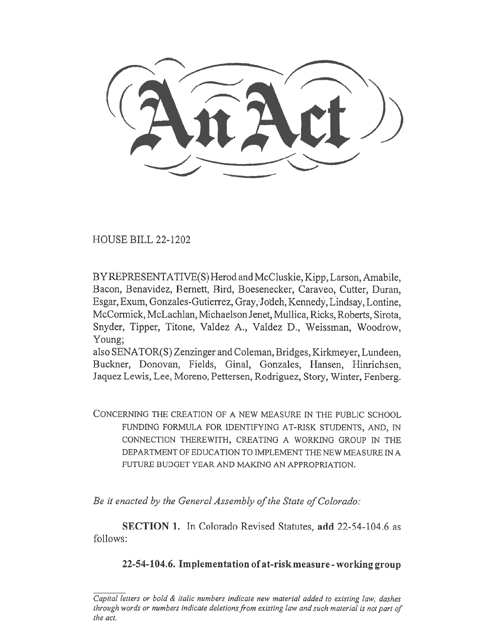HOUSE BILL 22-1202

BY REPRESENTATIVE(S) Herod and McCluskie, Kipp, Larson, Amabile, Bacon, Benavidez, Bernett, Bird, Boesenecker, Caraveo, Cutter, Duran, Esgar, Exum, Gonzales-Gutierrez, Gray,•Jodeh, Kennedy, Lindsay, Lontine, McCormick, McLachlan, Michaelson Jenet, Mullica, Ricks, Roberts, Sirota, Snyder, Tipper, Titone, Valdez A., Valdez D., Weissman, Woodrow, Young;

also SENATOR(S) Zenzinger and Coleman, Bridges, Kirkmeyer, Lundeen, Buckner, Donovan, Fields, Ginal, Gonzales, Hansen, Hinrichsen, Jaquez Lewis, Lee, Moreno, Pettersen, Rodriguez, Story, Winter, Fenberg.

CONCERNING THE CREATION OF A NEW MEASURE IN THE PUBLIC SCHOOL FUNDING FORMULA FOR IDENTIFYING AT-RISK STUDENTS, AND, IN CONNECTION THEREWITH, CREATING A WORKING GROUP IN THE DEPARTMENT OF EDUCATION TO IMPLEMENT THE NEW MEASURE IN A FUTURE BUDGET YEAR AND MAKING AN APPROPRIATION.

Be it enacted by the General Assembly of the State of Colorado:

SECTION 1. In Colorado Revised Statutes, add 22-54-104.6 as follows:

22-54-104.6. Implementation of at-risk measure - working group

Capital letters or bold & italic numbers indicate new material added to existing law; dashes through words or numbers indicate deletions from existing law and such material is not part of the act.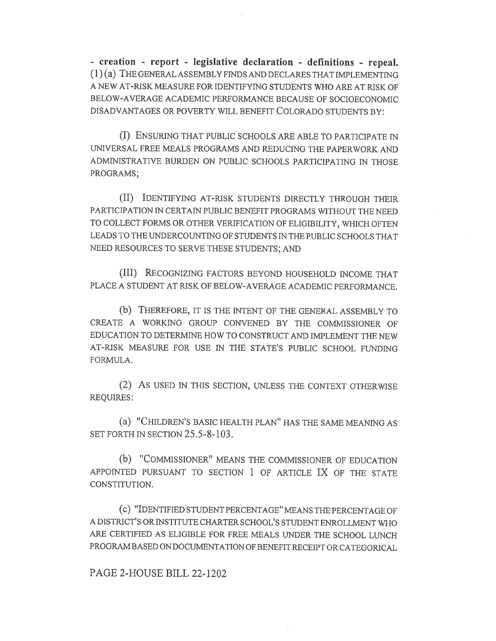- creation - report - legislative declaration - definitions - repeal. (1) (a) THE GENERAL ASSEMBLY FINDS AND DECLARES THAT IMPLEMENTING A NEW AT-RISK MEASURE FOR IDENTIFYING STUDENTS WHO ARE AT RISK OF BELOW-AVERAGE ACADEMIC PERFORMANCE BECAUSE OF SOCIOECONOMIC DISADVANTAGES OR POVERTY WILL BENEFIT COLORADO STUDENTS BY:

(I) ENSURING THAT PUBLIC SCHOOLS ARE ABLE TO PARTICIPATE IN UNIVERSAL FREE MEALS PROGRAMS AND REDUCING THE PAPERWORK AND ADMINISTRATIVE BURDEN ON PUBLIC SCHOOLS PARTICIPATING IN THOSE PROGRAMS;

(II) IDENTIFYING AT-RISK STUDENTS DIRECTLY THROUGH THEIR PARTICIPATION IN CERTAIN PUBLIC BENEFIT PROGRAMS WITHOUT THE NEED TO COLLECT FORMS OR OTHER VERIFICATION OF ELIGIBILITY, WHICH OFTEN LEADS TO THE UNDERCOUNTING OF STUDENTS IN THE PUBLIC SCHOOLS THAT NEED RESOURCES TO SERVE THESE STUDENTS; AND

(III) RECOGNIZING FACTORS BEYOND HOUSEHOLD INCOME THAT PLACE A STUDENT AT RISK OF BELOW-AVERAGE ACADEMIC PERFORMANCE.

(b) THEREFORE, IT IS THE INTENT OF THE GENERAL ASSEMBLY TO CREATE A WORKING GROUP CONVENED BY THE COMMISSIONER OF EDUCATION TO DETERMINE HOW TO CONSTRUCT AND IMPLEMENT THE NEW AT-RISK MEASURE FOR USE IN THE STATE'S PUBLIC SCHOOL FUNDING FORMULA.

(2) AS USED IN THIS SECTION, UNLESS THE CONTEXT OTHERWISE REQUIRES:

(a) "CHILDREN'S BASIC HEALTH PLAN" HAS THE SAME MEANING AS SET FORTH IN SECTION 25.5-8-103.

(b) "COMMISSIONER" MEANS THE COMMISSIONER OF EDUCATION APPOINTED PURSUANT TO SECTION 1 OF ARTICLE IX OF THE STATE CONSTITUTION.

(c) "IDENTIFIED STUDENT PERCENTAGE" MEANS THE PERCENTAGE OF A DISTRICT'S OR INSTITUTE CHARTER SCHOOL'S STUDENT ENROLLMENT W110 ARE CERTIFIED AS ELIGIBLE FOR FREE MEALS UNDER THE SCHOOL LUNCH PROGRAM BASED ON DOCUMENTATION OF BENEFIT RECEIPT OR CATEGORICAL

PAGE 2-HOUSE BILL 22-1202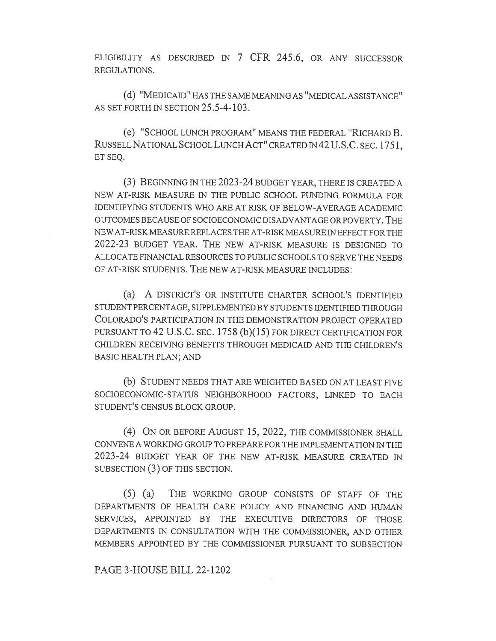ELIGIBILITY AS DESCRIBED IN 7 CFR 245.6, OR ANY SUCCESSOR REGULATIONS.

(d) "MEDICAID" HAS THE SAME MEANING AS "MEDICAL ASSISTANCE" AS SET FORTH IN SECTION 25.5-4-103.

(e) "SCHOOL LUNCH PROGRAM" MEANS THE FEDERAL "RICHARD B. RUSSELL NATIONAL SCHOOL LUNCH ACT" CREATED IN 42 U.S.C. SEC. 1751, ET SEQ.

(3) BEGINNING IN THE 2023-24 BUDGET YEAR, THERE IS CREATED A NEW AT-RISK MEASURE IN THE PUBLIC SCHOOL FUNDING FORMULA FOR IDENTIFYING STUDENTS WHO ARE AT RISK OF BELOW-AVERAGE ACADEMIC OUTCOMES BECAUSE OF SOCIOECONOMIC DISADVANTAGE OR POVERTY. THE NEW AT-RISK MEASURE REPLACES THE AT-RISK MEASURE IN EFFECT FOR THE 2022-23 BUDGET YEAR. THE NEW AT-RISK MEASURE IS DESIGNED TO ALLOCATE FINANCIAL RESOURCES TO PUBLIC SCHOOLS TO SERVE THE NEEDS OF AT-RISK STUDENTS. THE NEW AT-RISK MEASURE INCLUDES:

(a) A DISTRICT'S OR INSTITUTE CHARTER SCHOOL'S IDENTIFIED STUDENT PERCENTAGE, SUPPLEMENTED BY STUDENTS IDENTIFIED THROUGH COLORADO'S PARTICIPATION IN THE DEMONSTRATION PROJECT OPERATED PURSUANT TO 42 U.S.C. SEC. 1758 (b)(15) FOR DIRECT CERTIFICATION FOR CHILDREN RECEIVING BENEFITS THROUGH MEDICAID AND THE CHILDREN'S BASIC HEALTH PLAN; AND

(b) STUDENT NEEDS THAT ARE WEIGHTED BASED ON AT LEAST FIVE SOCIOECONOMIC-STATUS NEIGHBORHOOD FACTORS, LINKED TO EACH STUDENT'S CENSUS BLOCK GROUP.

(4) ON OR BEFORE AUGUST 15, 2022, THE COMMISSIONER SHALL CONVENE A WORKING GROUP TO PREPARE FOR THE IMPLEMENTATION IN THE 2023-24 BUDGET YEAR OF THE NEW AT-RISK MEASURE CREATED IN SUBSECTION (3) OF THIS SECTION.

(5) (a) THE WORKING GROUP CONSISTS OF STAFF OF THE DEPARTMENTS OF HEALTH CARE POLICY AND FINANCING AND HUMAN SERVICES, APPOINTED BY THE EXECUTIVE DIRECTORS OF THOSE DEPARTMENTS IN CONSULTATION WITH THE COMMISSIONER, AND OTHER MEMBERS APPOINTED BY THE COMMISSIONER PURSUANT TO SUBSECTION

PAGE 3-HOUSE BILL 22-1202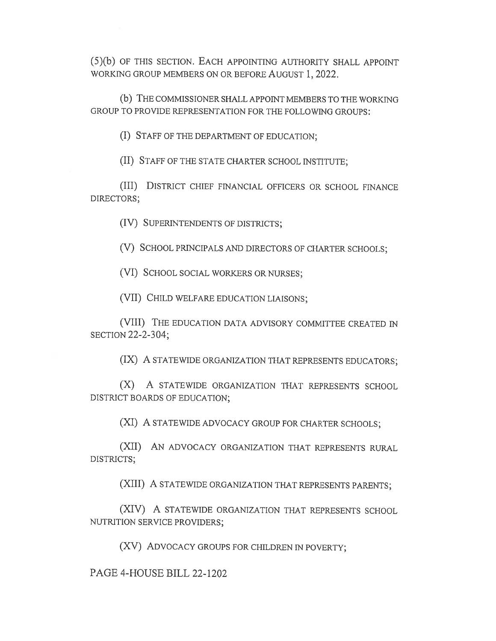(5)(b) OF THIS SECTION. EACH APPOINTING AUTHORITY SHALL APPOINT WORKING GROUP MEMBERS ON OR BEFORE AUGUST 1, 2022.

(b) THE COMMISSIONER SHALL APPOINT MEMBERS TO THE WORKING GROUP TO PROVIDE REPRESENTATION FOR THE FOLLOWING GROUPS:

(I) STAFF OF THE DEPARTMENT OF EDUCATION;

(II) STAFF OF THE STATE CHARTER SCHOOL INSTITUTE;

(III) DISTRICT CHIEF FINANCIAL OFFICERS OR SCHOOL FINANCE DIRECTORS;

(IV) SUPERINTENDENTS OF DISTRICTS;

(V) SCHOOL PRINCIPALS AND DIRECTORS OF CHARTER SCHOOLS;

(VI) SCHOOL SOCIAL WORKERS OR NURSES;

(VII) CHILD WELFARE EDUCATION LIAISONS;

(VIII) THE EDUCATION DATA ADVISORY COMMITTEE CREATED IN SECTION 22-2-304;

(IX) A STATEWIDE ORGANIZATION THAT REPRESENTS EDUCATORS;

(X) A STATEWIDE ORGANIZATION THAT REPRESENTS SCHOOL DISTRICT BOARDS OF EDUCATION;

(XI) A STATEWIDE ADVOCACY GROUP FOR CHARTER SCHOOLS;

(XII) AN ADVOCACY ORGANIZATION THAT REPRESENTS RURAL DISTRICTS;

(XIII) A STATEWIDE ORGANIZATION THAT REPRESENTS PARENTS;

(XIV) A STATEWIDE ORGANIZATION THAT REPRESENTS SCHOOL NUTRITION SERVICE PROVIDERS;

(XV) ADVOCACY GROUPS FOR CHILDREN IN POVERTY;

PAGE 4-HOUSE BILL 22-1202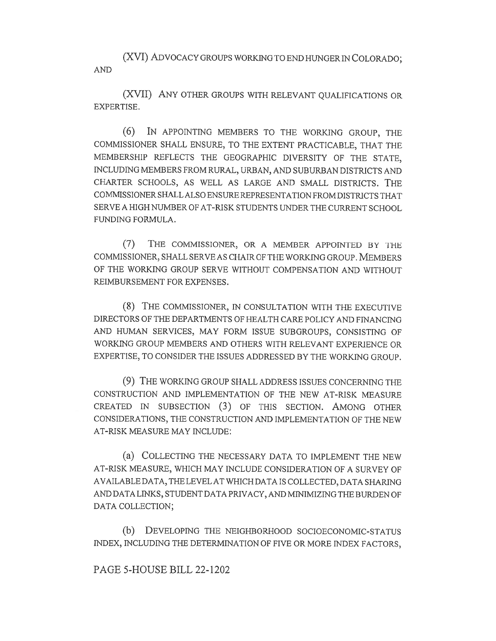(XVI) ADVOCACY GROUPS WORKING TO END HUNGER IN COLORADO; AND

(XVII) ANY OTHER GROUPS WITH RELEVANT QUALIFICATIONS OR EXPERTISE.

(6) IN APPOINTING MEMBERS TO THE WORKING GROUP, THE COMMISSIONER SHALL ENSURE, TO THE EXTENT PRACTICABLE, THAT THE MEMBERSHIP REFLECTS THE GEOGRAPHIC DIVERSITY OF THE STATE, INCLUDING MEMBERS FROM RURAL, URBAN, AND SUBURBAN DISTRICTS AND CHARTER SCHOOLS, AS WELL AS LARGE AND SMALL DISTRICTS. THE COMMISSIONER SHALL ALSO ENSURE REPRESENTATION FROM DISTRICTS THAT SERVE A HIGH NUMBER OF AT-RISK STUDENTS UNDER THE CURRENT SCHOOL FUNDING FORMULA.

(7) THE COMMISSIONER, OR A MEMBER APPOINTED BY THE COMMISSIONER, SHALL SERVE AS CHAIR OF THE WORKING GROUP. MEMBERS OF THE WORKING GROUP SERVE WITHOUT COMPENSATION AND WITHOUT REIMBURSEMENT FOR EXPENSES.

(8) THE COMMISSIONER, IN CONSULTATION WITH THE EXECUTIVE DIRECTORS OF THE DEPARTMENTS OF HEALTH CARE POLICY AND FINANCING AND HUMAN SERVICES, MAY FORM ISSUE SUBGROUPS, CONSISTING OF WORKING GROUP MEMBERS AND OTHERS WITH RELEVANT EXPERIENCE OR EXPERTISE, TO CONSIDER THE ISSUES ADDRESSED BY THE WORKING GROUP.

(9) THE WORKING GROUP SHALL ADDRESS ISSUES CONCERNING THE CONSTRUCTION AND IMPLEMENTATION OF THE NEW AT-RISK MEASURE CREATED IN SUBSECTION (3) OF THIS SECTION. AMONG OTHER CONSIDERATIONS, THE CONSTRUCTION AND IMPLEMENTATION OF THE NEW AT-RISK MEASURE MAY INCLUDE:

(a) COLLECTING THE NECESSARY DATA TO IMPLEMENT THE NEW AT-RISK MEASURE, WHICH MAY INCLUDE CONSIDERATION OF A SURVEY OF AVAILABLE DATA, THE LEVEL AT WHICH DATA IS COLLECTED, DATA SHARING AND DATA LINKS, STUDENT DATA PRIVACY, AND MINIMIZING THE BURDEN OF DATA COLLECTION;

(b) DEVELOPING THE NEIGHBORHOOD SOCIOECONOMIC-STATUS INDEX, INCLUDING THE DETERMINATION OF FIVE OR MORE INDEX FACTORS,

PAGE 5-HOUSE BILL 22-1202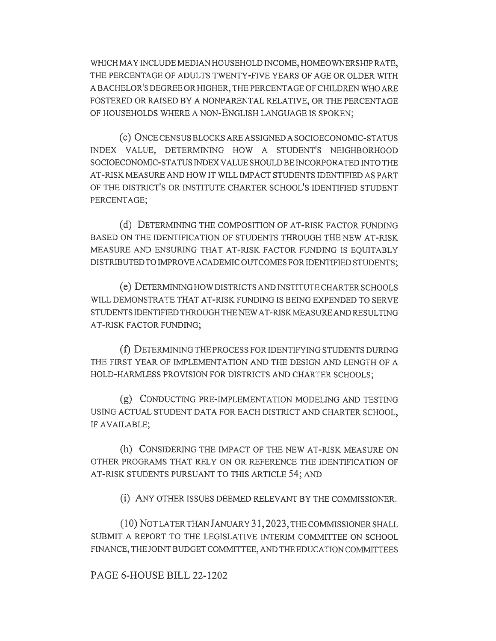WHICH MAY INCLUDE MEDIAN HOUSEHOLD INCOME, HOMEOWNERSHIP RATE, THE PERCENTAGE OF ADULTS TWENTY-FIVE YEARS OF AGE OR OLDER WITH A BACHELOR'S DEGREE OR HIGHER, THE PERCENTAGE OF CHILDREN WHO ARE FOSTERED OR RAISED BY A NONPARENTAL RELATIVE, OR THE PERCENTAGE OF HOUSEHOLDS WHERE A NON-ENGLISH LANGUAGE IS SPOKEN;

(c) ONCE CENSUS BLOCKS ARE ASSIGNED A SOCIOECONOMIC-STATUS INDEX VALUE, DETERMINING HOW A STUDENT'S NEIGHBORHOOD SOCIOECONOMIC-STATUS INDEX VALUE SHOULD BE INCORPORATED INTO THE AT-RISK MEASURE AND HOW IT WILL IMPACT STUDENTS IDENTIFIED AS PART OF THE DISTRICT'S OR INSTITUTE CHARTER SCHOOL'S IDENTIFIED STUDENT PERCENTAGE;

(d) DETERMINING THE COMPOSITION OF AT-RISK FACTOR FUNDING BASED ON THE IDENTIFICATION OF STUDENTS THROUGH THE NEW AT-RISK MEASURE AND ENSURING THAT AT-RISK FACTOR FUNDING IS EQUITABLY DISTRIBUTED TO IMPROVE ACADEMIC OUTCOMES FOR IDENTIFIED STUDENTS;

(e) DETERMINING HOW DISTRICTS AND INSTITUTE CHARTER SCHOOLS WILL DEMONSTRATE THAT AT-RISK FUNDING IS BEING EXPENDED TO SERVE STUDENTS IDENTIFIED THROUGH THE NEW AT-RISK MEASURE AND RESULTING AT-RISK FACTOR FUNDING;

(f) DETERMINING THE PROCESS FOR IDENTIFYING STUDENTS DURING THE FIRST YEAR OF IMPLEMENTATION AND THE DESIGN AND LENGTH OF A HOLD-HARMLESS PROVISION FOR DISTRICTS AND CHARTER SCHOOLS;

(g) CONDUCTING PRE-IMPLEMENTATION MODELING AND TESTING USING ACTUAL STUDENT DATA FOR EACH DISTRICT AND CHARTER SCHOOL, IF AVAILABLE;

(h) CONSIDERING THE IMPACT OF THE NEW AT-RISK MEASURE ON OTHER PROGRAMS THAT RELY ON OR REFERENCE THE IDENTIFICATION OF AT-RISK STUDENTS PURSUANT TO THIS ARTICLE 54; AND

(i) ANY OTHER ISSUES DEEMED RELEVANT BY THE COMMISSIONER.

(1 0) NOT LATER THAN JANUARY 31,2023, THE COMMISSIONER SHALL SUBMIT A REPORT TO THE LEGISLATIVE INTERIM COMMITTEE ON SCHOOL FINANCE, THE JOINT BUDGET COMMITTEE, AND THE EDUCATION COMMITTEES

PAGE 6-HOUSE BILL 22-1202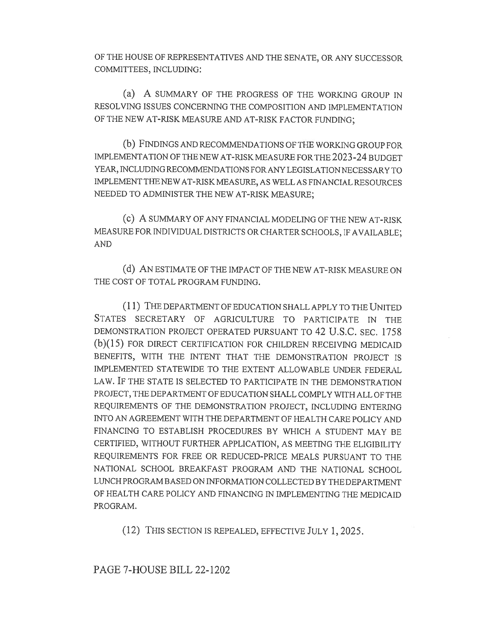OF THE HOUSE OF REPRESENTATIVES AND THE SENATE, OR ANY SUCCESSOR COMMITTEES, INCLUDING:

(a) A SUMMARY OF THE PROGRESS OF THE WORKING GROUP IN RESOLVING ISSUES CONCERNING THE COMPOSITION AND IMPLEMENTATION OF THE NEW AT-RISK MEASURE AND AT-RISK FACTOR FUNDING;

(b) FINDINGS AND RECOMMENDATIONS OF THE WORKING GROUP FOR IMPLEMENTATION OF THE NEW AT-RISK MEASURE FOR THE 2023-24 BUDGET YEAR, INCLUDING RECOMMENDATIONS FOR ANY LEGISLATION NECESSARY TO IMPLEMENT THE NEW AT-RISK MEASURE, AS WELL AS FINANCIAL RESOURCES NEEDED TO ADMINISTER THE NEW AT-RISK MEASURE;

(c) A SUMMARY OF ANY FINANCIAL MODELING OF THE NEW AT-RISK MEASURE FOR INDIVIDUAL DISTRICTS OR CHARTER SCHOOLS, IF AVAILABLE; AND

(d) AN ESTIMATE OF THE IMPACT OF THE NEW AT-RISK MEASURE ON THE COST OF TOTAL PROGRAM FUNDING.

(1 1) THE DEPARTMENT OF EDUCATION SHALL APPLY TO THE UNITED STATES SECRETARY OF AGRICULTURE TO PARTICIPATE IN THE DEMONSTRATION PROJECT OPERATED PURSUANT TO 42 U.S.C. SEC. 1758 (b)(15) FOR DIRECT CERTIFICATION FOR CHILDREN RECEIVING MEDICAID BENEFITS, WITH THE INTENT THAT THE DEMONSTRATION PROJECT IS IMPLEMENTED STATEWIDE TO THE EXTENT ALLOWABLE UNDER FEDERAL LAW. IF THE STATE IS SELECTED TO PARTICIPATE IN THE DEMONSTRATION PROJECT, THE DEPARTMENT OF EDUCATION SHALL COMPLY WITH ALL OF THE REQUIREMENTS OF THE DEMONSTRATION PROJECT, INCLUDING ENTERING INTO AN AGREEMENT WITH THE DEPARTMENT OF HEALTH CARE POLICY AND FINANCING TO ESTABLISH PROCEDURES BY WHICH A STUDENT MAY BE CERTIFIED, WITHOUT FURTHER APPLICATION, AS MEETING THE ELIGIBILITY REQUIREMENTS FOR FREE OR REDUCED-PRICE MEALS PURSUANT TO THE NATIONAL SCHOOL BREAKFAST PROGRAM AND THE NATIONAL SCHOOL LUNCH PROGRAM BASED ON INFORMATION COLLECTED BY THE DEPARTMENT OF HEALTH CARE POLICY AND FINANCING IN IMPLEMENTING THE MEDICAID PROGRAM.

(12) THIS SECTION IS REPEALED, EFFECTIVE JULY 1, 2025.

PAGE 7-HOUSE BILL 22-1202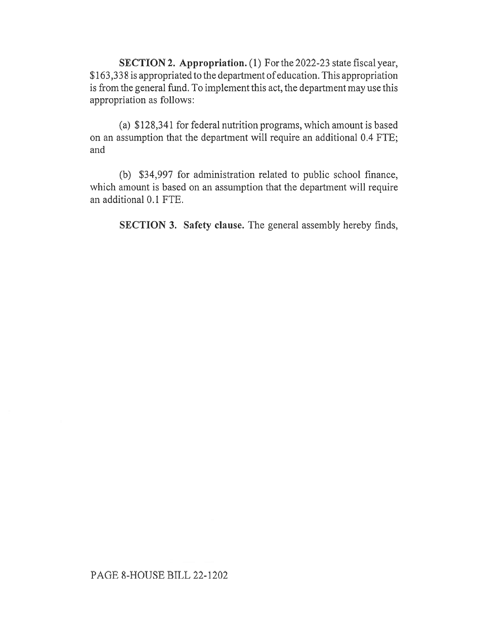SECTION 2. Appropriation. (1) For the 2022-23 state fiscal year, \$163,338 is appropriated to the department of education. This appropriation is from the general fund. To implement this act, the department may use this appropriation as follows:

(a) \$128,341 for federal nutrition programs, which amount is based on an assumption that the department will require an additional 0.4 FTE; and

(b) \$34,997 for administration related to public school finance, which amount is based on an assumption that the department will require an additional 0.1 FTE.

SECTION 3. Safety clause. The general assembly hereby finds,